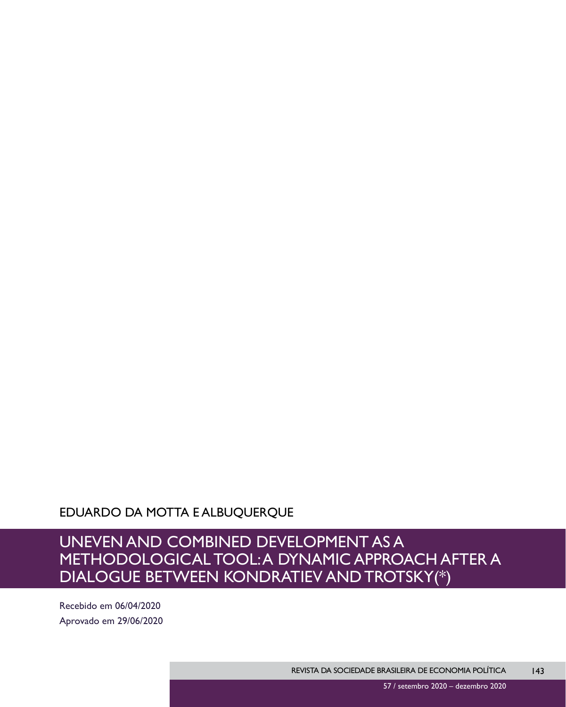EDUARDO DA MOTTA E ALBUQUERQUE

# UNEVEN AND COMBINED DEVELOPMENT AS A METHODOLOGICAL TOOL: A DYNAMIC APPROACH AFTER A DIALOGUE BETWEEN KONDRATIEV AND TROTSKY(\*)

Recebido em 06/04/2020 Aprovado em 29/06/2020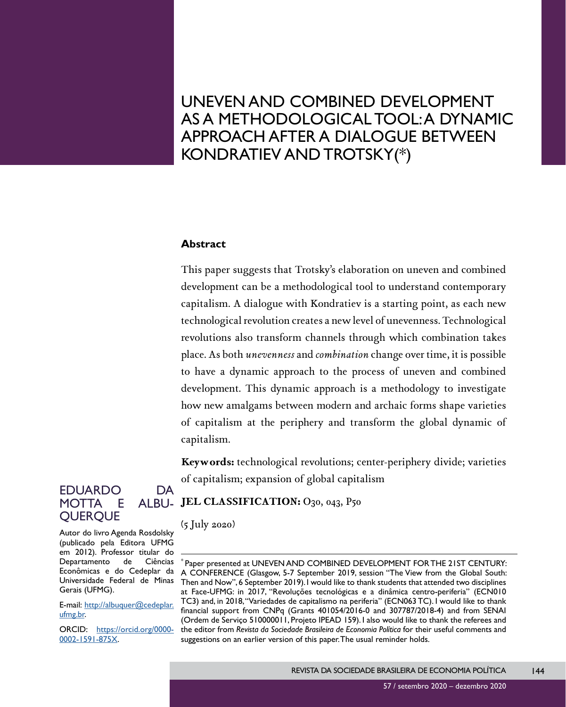# UNEVEN AND COMBINED DEVELOPMENT AS A METHODOLOGICAL TOOL: A DYNAMIC APPROACH AFTER A DIALOGUE BETWEEN KONDRATIEV AND TROTSKY(\*)

#### **Abstract**

This paper suggests that Trotsky's elaboration on uneven and combined development can be a methodological tool to understand contemporary capitalism. A dialogue with Kondratiev is a starting point, as each new technological revolution creates a new level of unevenness. Technological revolutions also transform channels through which combination takes place. As both *unevenness* and *combination* change over time, it is possible to have a dynamic approach to the process of uneven and combined development. This dynamic approach is a methodology to investigate how new amalgams between modern and archaic forms shape varieties of capitalism at the periphery and transform the global dynamic of capitalism.

**Keywords:** technological revolutions; center-periphery divide; varieties of capitalism; expansion of global capitalism

#### EDUARDO DA MOTTA E **OUEROUE** ALBU<sub>-</sub> JEL CLASSIFICATION: O<sub>30</sub>, 043, P50

(5 July 2020)

Autor do livro Agenda Rosdolsky (publicado pela Editora UFMG em 2012). Professor titular do Departamento de Ciências Econômicas e do Cedeplar da Universidade Federal de Minas Gerais (UFMG).

E-mail: [http://albuquer@cedeplar.](mailto:http://albuquer@cedeplar.ufmg.br) [ufmg.br.](mailto:http://albuquer@cedeplar.ufmg.br)

ORCID: [https://orcid.org/0000-](https://orcid.org/0000-0002-1591-875X) [0002-1591-875X.](https://orcid.org/0000-0002-1591-875X)

Paper presented at UNEVEN AND COMBINED DEVELOPMENT FOR THE 21ST CENTURY: A CONFERENCE (Glasgow, 5-7 September 2019, session "The View from the Global South: Then and Now", 6 September 2019). I would like to thank students that attended two disciplines at Face-UFMG: in 2017, "Revoluções tecnológicas e a dinâmica centro-periferia" (ECN010 TC3) and, in 2018, "Variedades de capitalismo na periferia" (ECN063 TC). I would like to thank financial support from CNPq (Grants 401054/2016-0 and 307787/2018-4) and from SENAI (Ordem de Serviço 510000011, Projeto IPEAD 159). I also would like to thank the referees and the editor from *Revista da Sociedade Brasileira de Economia Política* for their useful comments and suggestions on an earlier version of this paper. The usual reminder holds.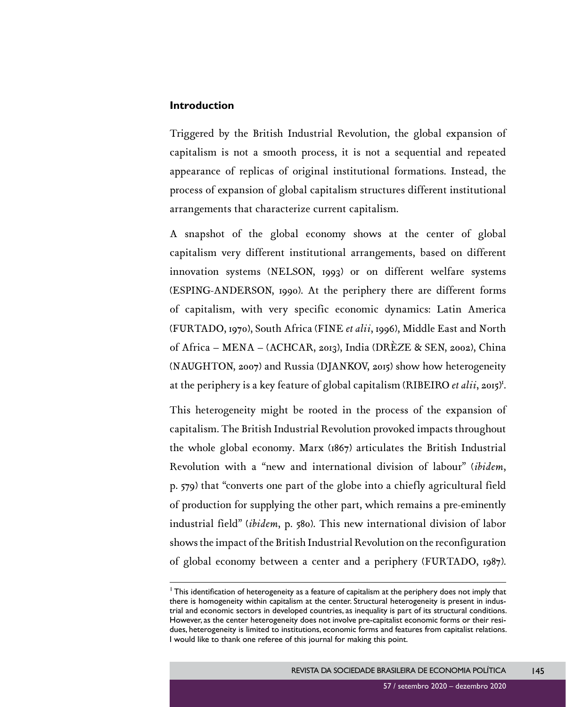### **Introduction**

Triggered by the British Industrial Revolution, the global expansion of capitalism is not a smooth process, it is not a sequential and repeated appearance of replicas of original institutional formations. Instead, the process of expansion of global capitalism structures different institutional arrangements that characterize current capitalism.

A snapshot of the global economy shows at the center of global capitalism very different institutional arrangements, based on different innovation systems (NELSON, 1993) or on different welfare systems (ESPING-ANDERSON, 1990). At the periphery there are different forms of capitalism, with very specific economic dynamics: Latin America (FURTADO, 1970), South Africa (FINE *et alii*, 1996), Middle East and North of Africa – MENA – (ACHCAR, 2013), India (DRÈZE & SEN, 2002), China (NAUGHTON, 2007) and Russia (DJANKOV, 2015) show how heterogeneity at the periphery is a key feature of global capitalism (RIBEIRO et alii, 2015)<sup>r</sup>.

This heterogeneity might be rooted in the process of the expansion of capitalism. The British Industrial Revolution provoked impacts throughout the whole global economy. Marx (1867) articulates the British Industrial Revolution with a "new and international division of labour" (*ibidem*, p. 579) that "converts one part of the globe into a chiefly agricultural field of production for supplying the other part, which remains a pre-eminently industrial field" (*ibidem*, p. 580). This new international division of labor shows the impact of the British Industrial Revolution on the reconfiguration of global economy between a center and a periphery (FURTADO, 1987).

<sup>&</sup>lt;sup>1</sup> This identification of heterogeneity as a feature of capitalism at the periphery does not imply that there is homogeneity within capitalism at the center. Structural heterogeneity is present in industrial and economic sectors in developed countries, as inequality is part of its structural conditions. However, as the center heterogeneity does not involve pre-capitalist economic forms or their residues, heterogeneity is limited to institutions, economic forms and features from capitalist relations. I would like to thank one referee of this journal for making this point.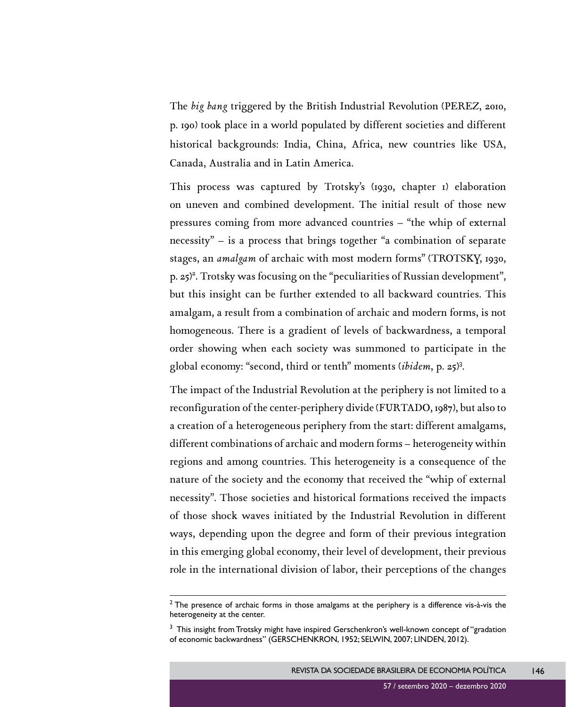The *big bang* triggered by the British Industrial Revolution (PEREZ, 2010, p. 190) took place in a world populated by different societies and different historical backgrounds: India, China, Africa, new countries like USA, Canada, Australia and in Latin America.

This process was captured by Trotsky's (1930, chapter 1) elaboration on uneven and combined development. The initial result of those new pressures coming from more advanced countries – "the whip of external necessity" – is a process that brings together "a combination of separate stages, an *amalgam* of archaic with most modern forms" (TROTSKY, 1930, p. 25)<sup>2</sup>. Trotsky was focusing on the "peculiarities of Russian development", but this insight can be further extended to all backward countries. This amalgam, a result from a combination of archaic and modern forms, is not homogeneous. There is a gradient of levels of backwardness, a temporal order showing when each society was summoned to participate in the global economy: "second, third or tenth" moments (*ibidem*, p. 25)<sup>3</sup> .

The impact of the Industrial Revolution at the periphery is not limited to a reconfiguration of the center-periphery divide (FURTADO, 1987), but also to a creation of a heterogeneous periphery from the start: different amalgams, different combinations of archaic and modern forms – heterogeneity within regions and among countries. This heterogeneity is a consequence of the nature of the society and the economy that received the "whip of external necessity". Those societies and historical formations received the impacts of those shock waves initiated by the Industrial Revolution in different ways, depending upon the degree and form of their previous integration in this emerging global economy, their level of development, their previous role in the international division of labor, their perceptions of the changes

146

 $2$  The presence of archaic forms in those amalgams at the periphery is a difference vis-à-vis the heterogeneity at the center.

 $3$  This insight from Trotsky might have inspired Gerschenkron's well-known concept of "gradation of economic backwardness" (GERSCHENKRON, 1952; SELWIN, 2007; LINDEN, 2012).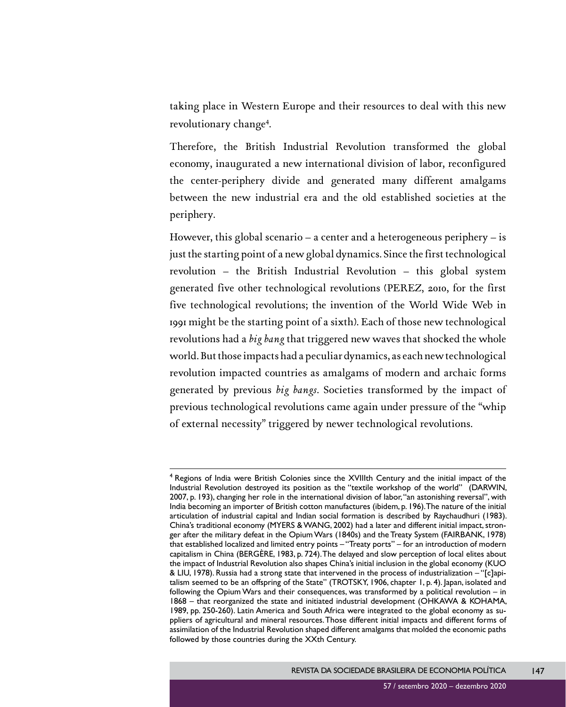taking place in Western Europe and their resources to deal with this new revolutionary change<sup>4</sup>.

Therefore, the British Industrial Revolution transformed the global economy, inaugurated a new international division of labor, reconfigured the center-periphery divide and generated many different amalgams between the new industrial era and the old established societies at the periphery.

However, this global scenario – a center and a heterogeneous periphery – is just the starting point of a new global dynamics. Since the first technological revolution – the British Industrial Revolution – this global system generated five other technological revolutions (PEREZ, 2010, for the first five technological revolutions; the invention of the World Wide Web in 1991 might be the starting point of a sixth). Each of those new technological revolutions had a *big bang* that triggered new waves that shocked the whole world. But those impacts had a peculiar dynamics, as each new technological revolution impacted countries as amalgams of modern and archaic forms generated by previous *big bangs*. Societies transformed by the impact of previous technological revolutions came again under pressure of the "whip of external necessity" triggered by newer technological revolutions.

<sup>&</sup>lt;sup>4</sup> Regions of India were British Colonies since the XVIIIth Century and the initial impact of the Industrial Revolution destroyed its position as the "textile workshop of the world" (DARWIN, 2007, p. 193), changing her role in the international division of labor, "an astonishing reversal", with India becoming an importer of British cotton manufactures (ibidem, p. 196). The nature of the initial articulation of industrial capital and Indian social formation is described by Raychaudhuri (1983). China's traditional economy (MYERS & WANG, 2002) had a later and different initial impact, stronger after the military defeat in the Opium Wars (1840s) and the Treaty System (FAIRBANK, 1978) that established localized and limited entry points – "Treaty ports" – for an introduction of modern capitalism in China (BERGÈRE, 1983, p. 724). The delayed and slow perception of local elites about the impact of Industrial Revolution also shapes China's initial inclusion in the global economy (KUO & LIU, 1978). Russia had a strong state that intervened in the process of industrialization – "[c]apitalism seemed to be an offspring of the State" (TROTSKY, 1906, chapter 1, p. 4). Japan, isolated and following the Opium Wars and their consequences, was transformed by a political revolution – in 1868 – that reorganized the state and initiated industrial development (OHKAWA & KOHAMA, 1989, pp. 250-260). Latin America and South Africa were integrated to the global economy as suppliers of agricultural and mineral resources. Those different initial impacts and different forms of assimilation of the Industrial Revolution shaped different amalgams that molded the economic paths followed by those countries during the XXth Century.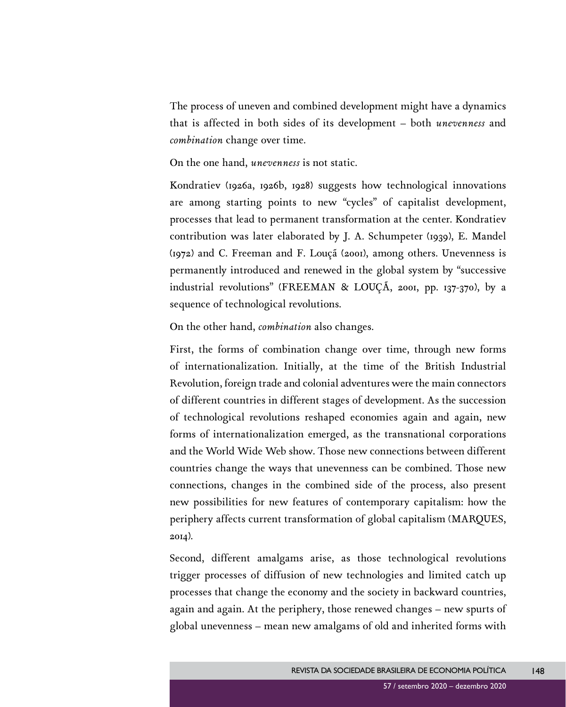The process of uneven and combined development might have a dynamics that is affected in both sides of its development – both *unevenness* and *combination* change over time.

On the one hand, *unevenness* is not static.

Kondratiev (1926a, 1926b, 1928) suggests how technological innovations are among starting points to new "cycles" of capitalist development, processes that lead to permanent transformation at the center. Kondratiev contribution was later elaborated by J. A. Schumpeter (1939), E. Mandel (1972) and C. Freeman and F. Louçã (2001), among others. Unevenness is permanently introduced and renewed in the global system by "successive industrial revolutions" (FREEMAN & LOUÇÃ, 2001, pp. 137-370), by a sequence of technological revolutions.

On the other hand, *combination* also changes.

First, the forms of combination change over time, through new forms of internationalization. Initially, at the time of the British Industrial Revolution, foreign trade and colonial adventures were the main connectors of different countries in different stages of development. As the succession of technological revolutions reshaped economies again and again, new forms of internationalization emerged, as the transnational corporations and the World Wide Web show. Those new connections between different countries change the ways that unevenness can be combined. Those new connections, changes in the combined side of the process, also present new possibilities for new features of contemporary capitalism: how the periphery affects current transformation of global capitalism (MARQUES, 2014).

Second, different amalgams arise, as those technological revolutions trigger processes of diffusion of new technologies and limited catch up processes that change the economy and the society in backward countries, again and again. At the periphery, those renewed changes – new spurts of global unevenness – mean new amalgams of old and inherited forms with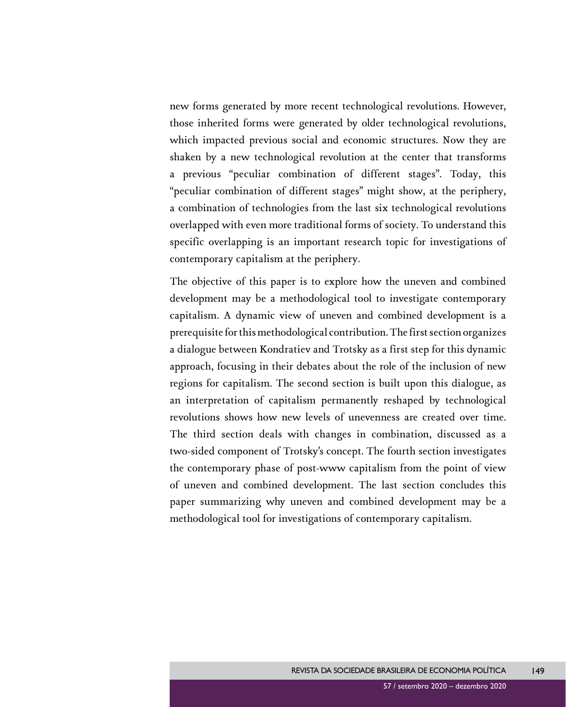new forms generated by more recent technological revolutions. However, those inherited forms were generated by older technological revolutions, which impacted previous social and economic structures. Now they are shaken by a new technological revolution at the center that transforms a previous "peculiar combination of different stages". Today, this "peculiar combination of different stages" might show, at the periphery, a combination of technologies from the last six technological revolutions overlapped with even more traditional forms of society. To understand this specific overlapping is an important research topic for investigations of contemporary capitalism at the periphery.

The objective of this paper is to explore how the uneven and combined development may be a methodological tool to investigate contemporary capitalism. A dynamic view of uneven and combined development is a prerequisite for this methodological contribution. The first section organizes a dialogue between Kondratiev and Trotsky as a first step for this dynamic approach, focusing in their debates about the role of the inclusion of new regions for capitalism. The second section is built upon this dialogue, as an interpretation of capitalism permanently reshaped by technological revolutions shows how new levels of unevenness are created over time. The third section deals with changes in combination, discussed as a two-sided component of Trotsky's concept. The fourth section investigates the contemporary phase of post-www capitalism from the point of view of uneven and combined development. The last section concludes this paper summarizing why uneven and combined development may be a methodological tool for investigations of contemporary capitalism.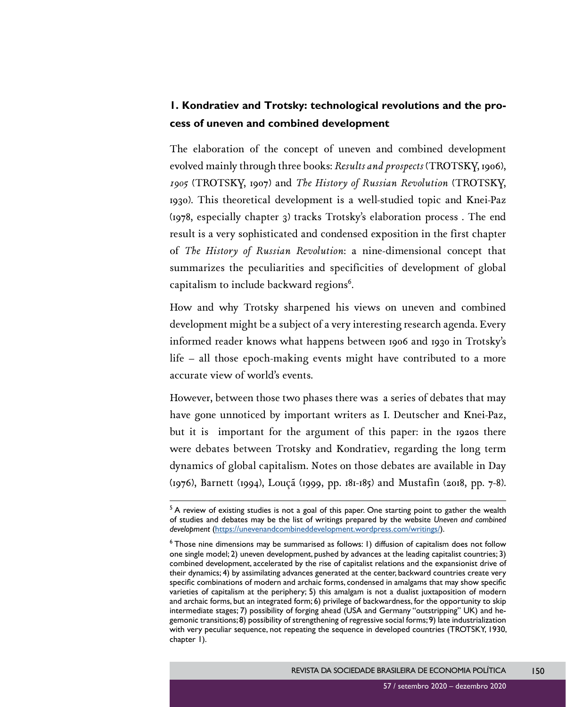## **1. Kondratiev and Trotsky: technological revolutions and the process of uneven and combined development**

The elaboration of the concept of uneven and combined development evolved mainly through three books: *Results and prospects* (TROTSKY, 1906), *1905* (TROTSKY, 1907) and *The History of Russian Revolution* (TROTSKY, 1930). This theoretical development is a well-studied topic and Knei-Paz (1978, especially chapter 3) tracks Trotsky's elaboration process . The end result is a very sophisticated and condensed exposition in the first chapter of *The History of Russian Revolution*: a nine-dimensional concept that summarizes the peculiarities and specificities of development of global capitalism to include backward regions $^6$ .

How and why Trotsky sharpened his views on uneven and combined development might be a subject of a very interesting research agenda. Every informed reader knows what happens between 1906 and 1930 in Trotsky's life – all those epoch-making events might have contributed to a more accurate view of world's events.

However, between those two phases there was a series of debates that may have gone unnoticed by important writers as I. Deutscher and Knei-Paz, but it is important for the argument of this paper: in the 1920s there were debates between Trotsky and Kondratiev, regarding the long term dynamics of global capitalism. Notes on those debates are available in Day (1976), Barnett (1994), Louçã (1999, pp. 181-185) and Mustafin (2018, pp. 7-8).

 $5$  A review of existing studies is not a goal of this paper. One starting point to gather the wealth of studies and debates may be the list of writings prepared by the website *Uneven and combined development* (<https://unevenandcombineddevelopment.wordpress.com/writings/>).

<sup>6</sup> Those nine dimensions may be summarised as follows: 1) diffusion of capitalism does not follow one single model; 2) uneven development, pushed by advances at the leading capitalist countries; 3) combined development, accelerated by the rise of capitalist relations and the expansionist drive of their dynamics; 4) by assimilating advances generated at the center, backward countries create very specific combinations of modern and archaic forms, condensed in amalgams that may show specific varieties of capitalism at the periphery; 5) this amalgam is not a dualist juxtaposition of modern and archaic forms, but an integrated form; 6) privilege of backwardness, for the opportunity to skip intermediate stages; 7) possibility of forging ahead (USA and Germany "outstripping" UK) and hegemonic transitions; 8) possibility of strengthening of regressive social forms; 9) late industrialization with very peculiar sequence, not repeating the sequence in developed countries (TROTSKY, 1930, chapter 1).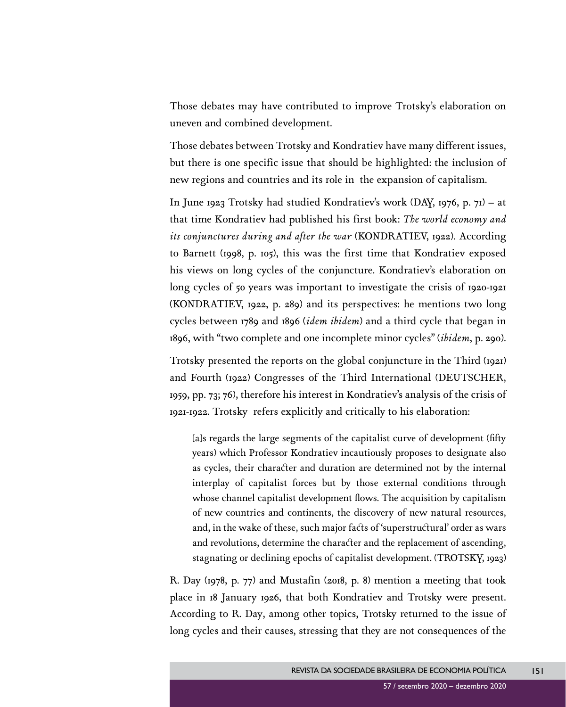Those debates may have contributed to improve Trotsky's elaboration on uneven and combined development.

Those debates between Trotsky and Kondratiev have many different issues, but there is one specific issue that should be highlighted: the inclusion of new regions and countries and its role in the expansion of capitalism.

In June 1923 Trotsky had studied Kondratiev's work (DAY, 1976, p. 71) – at that time Kondratiev had published his first book: *The world economy and its conjunctures during and after the war* (KONDRATIEV, 1922). According to Barnett (1998, p. 105), this was the first time that Kondratiev exposed his views on long cycles of the conjuncture. Kondratiev's elaboration on long cycles of 50 years was important to investigate the crisis of 1920-1921 (KONDRATIEV, 1922, p. 289) and its perspectives: he mentions two long cycles between 1789 and 1896 (*idem ibidem*) and a third cycle that began in 1896, with "two complete and one incomplete minor cycles" (*ibidem*, p. 290).

Trotsky presented the reports on the global conjuncture in the Third (1921) and Fourth (1922) Congresses of the Third International (DEUTSCHER, 1959, pp. 73; 76), therefore his interest in Kondratiev's analysis of the crisis of 1921-1922. Trotsky refers explicitly and critically to his elaboration:

[a]s regards the large segments of the capitalist curve of development (fifty years) which Professor Kondratiev incautiously proposes to designate also as cycles, their character and duration are determined not by the internal interplay of capitalist forces but by those external conditions through whose channel capitalist development flows. The acquisition by capitalism of new countries and continents, the discovery of new natural resources, and, in the wake of these, such major facts of 'superstructural' order as wars and revolutions, determine the character and the replacement of ascending, stagnating or declining epochs of capitalist development. (TROTSKY, 1923)

R. Day (1978, p. 77) and Mustafin (2018, p. 8) mention a meeting that took place in 18 January 1926, that both Kondratiev and Trotsky were present. According to R. Day, among other topics, Trotsky returned to the issue of long cycles and their causes, stressing that they are not consequences of the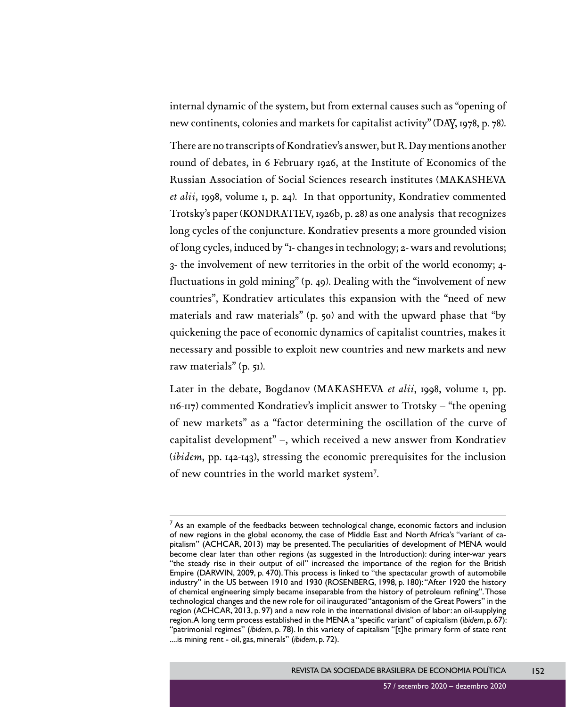internal dynamic of the system, but from external causes such as "opening of new continents, colonies and markets for capitalist activity" (DAY, 1978, p. 78).

There are no transcripts of Kondratiev's answer, but R. Day mentions another round of debates, in 6 February 1926, at the Institute of Economics of the Russian Association of Social Sciences research institutes (MAKASHEVA *et alii*, 1998, volume 1, p. 24). In that opportunity, Kondratiev commented Trotsky's paper (KONDRATIEV, 1926b, p. 28) as one analysis that recognizes long cycles of the conjuncture. Kondratiev presents a more grounded vision of long cycles, induced by "1- changes in technology; 2- wars and revolutions; 3- the involvement of new territories in the orbit of the world economy; 4 fluctuations in gold mining" (p. 49). Dealing with the "involvement of new countries", Kondratiev articulates this expansion with the "need of new materials and raw materials" (p. 50) and with the upward phase that "by quickening the pace of economic dynamics of capitalist countries, makes it necessary and possible to exploit new countries and new markets and new raw materials" (p. 51).

Later in the debate, Bogdanov (MAKASHEVA *et alii*, 1998, volume 1, pp. 116-117) commented Kondratiev's implicit answer to Trotsky – "the opening of new markets" as a "factor determining the oscillation of the curve of capitalist development" –, which received a new answer from Kondratiev (*ibidem*, pp. 142-143), stressing the economic prerequisites for the inclusion of new countries in the world market system7 .

 $<sup>7</sup>$  As an example of the feedbacks between technological change, economic factors and inclusion</sup> of new regions in the global economy, the case of Middle East and North Africa's "variant of capitalism" (ACHCAR, 2013) may be presented. The peculiarities of development of MENA would become clear later than other regions (as suggested in the Introduction): during inter-war years "the steady rise in their output of oil" increased the importance of the region for the British Empire (DARWIN, 2009, p. 470). This process is linked to "the spectacular growth of automobile industry" in the US between 1910 and 1930 (ROSENBERG, 1998, p. 180): "After 1920 the history of chemical engineering simply became inseparable from the history of petroleum refining". Those technological changes and the new role for oil inaugurated "antagonism of the Great Powers" in the region (ACHCAR, 2013, p. 97) and a new role in the international division of labor: an oil-supplying region. A long term process established in the MENA a "specific variant" of capitalism (*ibidem*, p. 67): "patrimonial regimes" (*ibidem*, p. 78). In this variety of capitalism "[t]he primary form of state rent ....is mining rent - oil, gas, minerals" (*ibidem*, p. 72).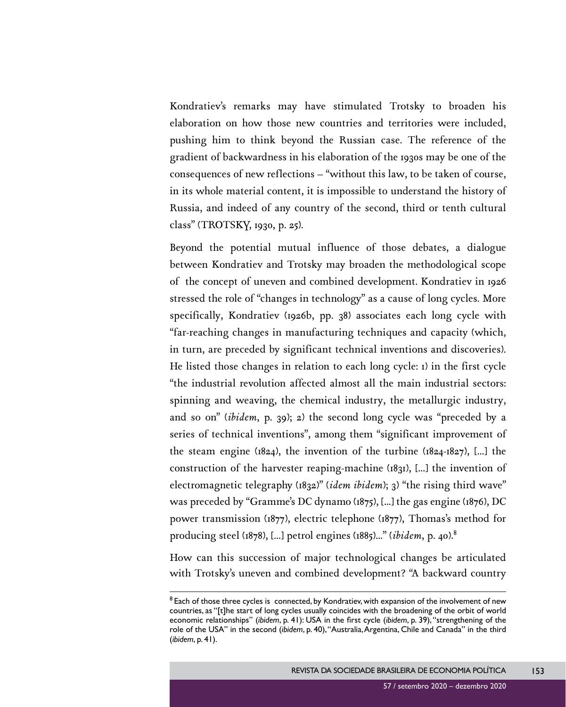Kondratiev's remarks may have stimulated Trotsky to broaden his elaboration on how those new countries and territories were included, pushing him to think beyond the Russian case. The reference of the gradient of backwardness in his elaboration of the 1930s may be one of the consequences of new reflections – "without this law, to be taken of course, in its whole material content, it is impossible to understand the history of Russia, and indeed of any country of the second, third or tenth cultural class" (TROTSKY, 1930, p. 25).

Beyond the potential mutual influence of those debates, a dialogue between Kondratiev and Trotsky may broaden the methodological scope of the concept of uneven and combined development. Kondratiev in 1926 stressed the role of "changes in technology" as a cause of long cycles. More specifically, Kondratiev (1926b, pp. 38) associates each long cycle with "far-reaching changes in manufacturing techniques and capacity (which, in turn, are preceded by significant technical inventions and discoveries). He listed those changes in relation to each long cycle: 1) in the first cycle "the industrial revolution affected almost all the main industrial sectors: spinning and weaving, the chemical industry, the metallurgic industry, and so on" (*ibidem*, p. 39); 2) the second long cycle was "preceded by a series of technical inventions", among them "significant improvement of the steam engine ( $1824$ ), the invention of the turbine ( $1824-1827$ ), [...] the construction of the harvester reaping-machine (1831), [...] the invention of electromagnetic telegraphy (1832)" (*idem ibidem*); 3) "the rising third wave" was preceded by "Gramme's DC dynamo (1875), [...] the gas engine (1876), DC power transmission (1877), electric telephone (1877), Thomas's method for producing steel (1878), [...] petrol engines (1885)..." (*ibidem*, p. 40).8

How can this succession of major technological changes be articulated with Trotsky's uneven and combined development? "A backward country

 $8$  Each of those three cycles is connected, by Kondratiev, with expansion of the involvement of new countries, as "[t]he start of long cycles usually coincides with the broadening of the orbit of world economic relationships" (*ibidem*, p. 41): USA in the first cycle (*ibidem*, p. 39), "strengthening of the role of the USA" in the second (*ibidem*, p. 40), "Australia, Argentina, Chile and Canada" in the third (*ibidem*, p. 41).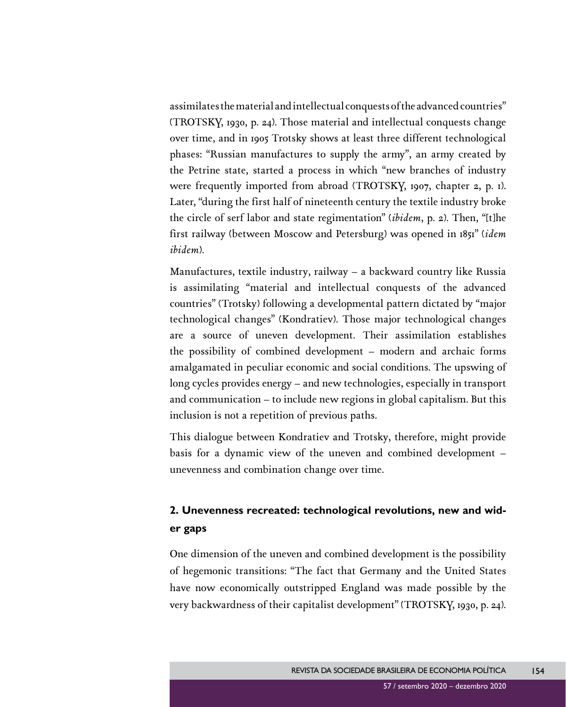assimilates the material and intellectual conquests of the advanced countries" (TROTSKY, 1930, p. 24). Those material and intellectual conquests change over time, and in 1905 Trotsky shows at least three different technological phases: "Russian manufactures to supply the army", an army created by the Petrine state, started a process in which "new branches of industry were frequently imported from abroad (TROTSKY, 1907, chapter 2, p. 1). Later, "during the first half of nineteenth century the textile industry broke the circle of serf labor and state regimentation" (*ibidem*, p. 2). Then, "[t]he first railway (between Moscow and Petersburg) was opened in 1851" (*idem ibidem*).

Manufactures, textile industry, railway – a backward country like Russia is assimilating "material and intellectual conquests of the advanced countries" (Trotsky) following a developmental pattern dictated by "major technological changes" (Kondratiev). Those major technological changes are a source of uneven development. Their assimilation establishes the possibility of combined development – modern and archaic forms amalgamated in peculiar economic and social conditions. The upswing of long cycles provides energy – and new technologies, especially in transport and communication – to include new regions in global capitalism. But this inclusion is not a repetition of previous paths.

This dialogue between Kondratiev and Trotsky, therefore, might provide basis for a dynamic view of the uneven and combined development – unevenness and combination change over time.

## **2. Unevenness recreated: technological revolutions, new and wider gaps**

One dimension of the uneven and combined development is the possibility of hegemonic transitions: "The fact that Germany and the United States have now economically outstripped England was made possible by the very backwardness of their capitalist development" (TROTSKY, 1930, p. 24).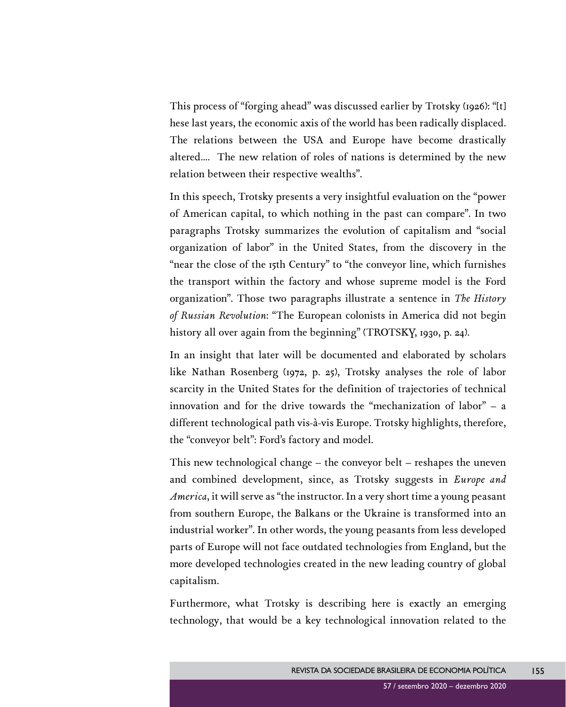This process of "forging ahead" was discussed earlier by Trotsky (1926): "[t] hese last years, the economic axis of the world has been radically displaced. The relations between the USA and Europe have become drastically altered.... The new relation of roles of nations is determined by the new relation between their respective wealths".

In this speech, Trotsky presents a very insightful evaluation on the "power of American capital, to which nothing in the past can compare". In two paragraphs Trotsky summarizes the evolution of capitalism and "social organization of labor" in the United States, from the discovery in the "near the close of the 15th Century" to "the conveyor line, which furnishes the transport within the factory and whose supreme model is the Ford organization". Those two paragraphs illustrate a sentence in *The History of Russian Revolution*: "The European colonists in America did not begin history all over again from the beginning" (TROTSKY, 1930, p. 24).

In an insight that later will be documented and elaborated by scholars like Nathan Rosenberg (1972, p. 25), Trotsky analyses the role of labor scarcity in the United States for the definition of trajectories of technical innovation and for the drive towards the "mechanization of labor" – a different technological path vis-à-vis Europe. Trotsky highlights, therefore, the "conveyor belt": Ford's factory and model.

This new technological change – the conveyor belt – reshapes the uneven and combined development, since, as Trotsky suggests in *Europe and America*, it will serve as "the instructor. In a very short time a young peasant from southern Europe, the Balkans or the Ukraine is transformed into an industrial worker". In other words, the young peasants from less developed parts of Europe will not face outdated technologies from England, but the more developed technologies created in the new leading country of global capitalism.

Furthermore, what Trotsky is describing here is exactly an emerging technology, that would be a key technological innovation related to the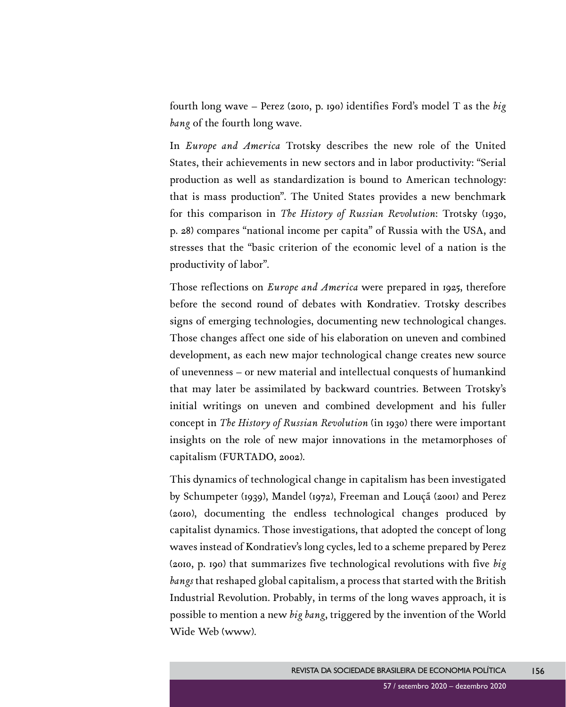fourth long wave – Perez (2010, p. 190) identifies Ford's model T as the *big bang* of the fourth long wave.

In *Europe and America* Trotsky describes the new role of the United States, their achievements in new sectors and in labor productivity: "Serial production as well as standardization is bound to American technology: that is mass production". The United States provides a new benchmark for this comparison in *The History of Russian Revolution*: Trotsky (1930, p. 28) compares "national income per capita" of Russia with the USA, and stresses that the "basic criterion of the economic level of a nation is the productivity of labor".

Those reflections on *Europe and America* were prepared in 1925, therefore before the second round of debates with Kondratiev. Trotsky describes signs of emerging technologies, documenting new technological changes. Those changes affect one side of his elaboration on uneven and combined development, as each new major technological change creates new source of unevenness – or new material and intellectual conquests of humankind that may later be assimilated by backward countries. Between Trotsky's initial writings on uneven and combined development and his fuller concept in *The History of Russian Revolution* (in 1930) there were important insights on the role of new major innovations in the metamorphoses of capitalism (FURTADO, 2002).

This dynamics of technological change in capitalism has been investigated by Schumpeter (1939), Mandel (1972), Freeman and Louçã (2001) and Perez (2010), documenting the endless technological changes produced by capitalist dynamics. Those investigations, that adopted the concept of long waves instead of Kondratiev's long cycles, led to a scheme prepared by Perez (2010, p. 190) that summarizes five technological revolutions with five *big bangs* that reshaped global capitalism, a process that started with the British Industrial Revolution. Probably, in terms of the long waves approach, it is possible to mention a new *big bang*, triggered by the invention of the World Wide Web (www).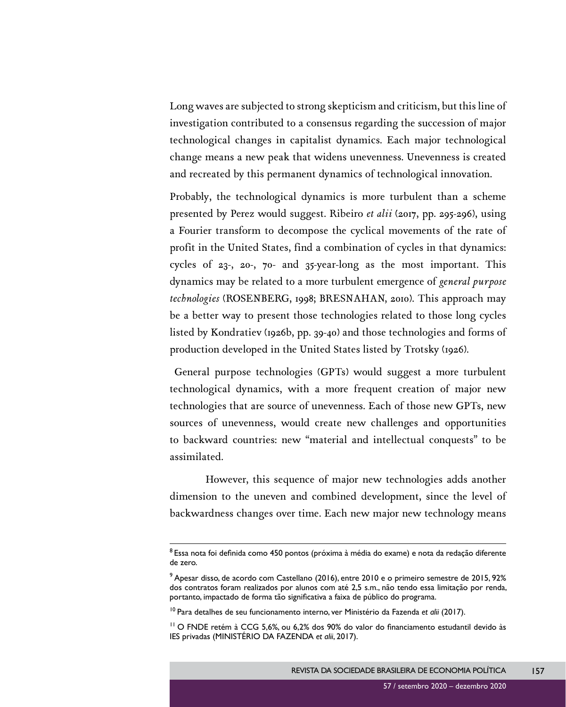Long waves are subjected to strong skepticism and criticism, but this line of investigation contributed to a consensus regarding the succession of major technological changes in capitalist dynamics. Each major technological change means a new peak that widens unevenness. Unevenness is created and recreated by this permanent dynamics of technological innovation.

Probably, the technological dynamics is more turbulent than a scheme presented by Perez would suggest. Ribeiro *et alii* (2017, pp. 295-296), using a Fourier transform to decompose the cyclical movements of the rate of profit in the United States, find a combination of cycles in that dynamics: cycles of 23-, 20-, 70- and 35-year-long as the most important. This dynamics may be related to a more turbulent emergence of *general purpose technologies* (ROSENBERG, 1998; BRESNAHAN, 2010). This approach may be a better way to present those technologies related to those long cycles listed by Kondratiev (1926b, pp. 39-40) and those technologies and forms of production developed in the United States listed by Trotsky (1926).

 General purpose technologies (GPTs) would suggest a more turbulent technological dynamics, with a more frequent creation of major new technologies that are source of unevenness. Each of those new GPTs, new sources of unevenness, would create new challenges and opportunities to backward countries: new "material and intellectual conquests" to be assimilated.

However, this sequence of major new technologies adds another dimension to the uneven and combined development, since the level of backwardness changes over time. Each new major new technology means

<sup>10</sup> Para detalhes de seu funcionamento interno, ver Ministério da Fazenda et alii (2017).

 $^8$ Essa nota foi definida como 450 pontos (próxima à média do exame) e nota da redação diferente de zero.

 $^9$  Apesar disso, de acordo com Castellano (2016), entre 2010 e o primeiro semestre de 2015, 92% dos contratos foram realizados por alunos com até 2,5 s.m., não tendo essa limitação por renda, portanto, impactado de forma tão significativa a faixa de público do programa.

 $11$ O FNDE retém à CCG 5,6%, ou 6,2% dos 90% do valor do financiamento estudantil devido às IES privadas (MINISTÉRIO DA FAZENDA *et alii*, 2017).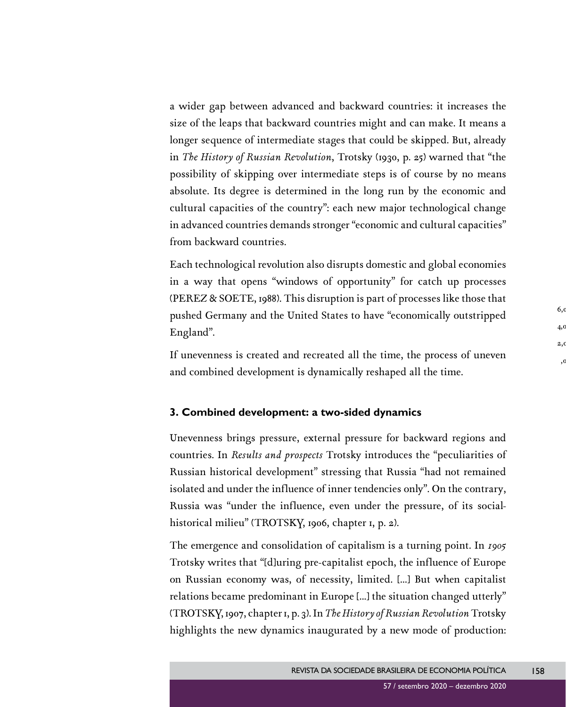a wider gap between advanced and backward countries: it increases the size of the leaps that backward countries might and can make. It means a longer sequence of intermediate stages that could be skipped. But, already in *The History of Russian Revolution*, Trotsky (1930, p. 25) warned that "the possibility of skipping over intermediate steps is of course by no means absolute. Its degree is determined in the long run by the economic and cultural capacities of the country": each new major technological change in advanced countries demands stronger "economic and cultural capacities" from backward countries.

Each technological revolution also disrupts domestic and global economies in a way that opens "windows of opportunity" for catch up processes (PEREZ & SOETE, 1988). This disruption is part of processes like those that pushed Germany and the United States to have "economically outstripped England".

If unevenness is created and recreated all the time, the process of uneven and combined development is dynamically reshaped all the time.

### **3. Combined development: a two-sided dynamics**

Unevenness brings pressure, external pressure for backward regions and countries. In *Results and prospects* Trotsky introduces the "peculiarities of Russian historical development" stressing that Russia "had not remained isolated and under the influence of inner tendencies only". On the contrary, Russia was "under the influence, even under the pressure, of its socialhistorical milieu" (TROTSKY, 1906, chapter 1, p. 2).

The emergence and consolidation of capitalism is a turning point. In *1905* Trotsky writes that "[d]uring pre-capitalist epoch, the influence of Europe on Russian economy was, of necessity, limited. [...] But when capitalist relations became predominant in Europe [...] the situation changed utterly" (TROTSKY, 1907, chapter 1, p. 3). In *The History of Russian Revolution* Trotsky highlights the new dynamics inaugurated by a new mode of production: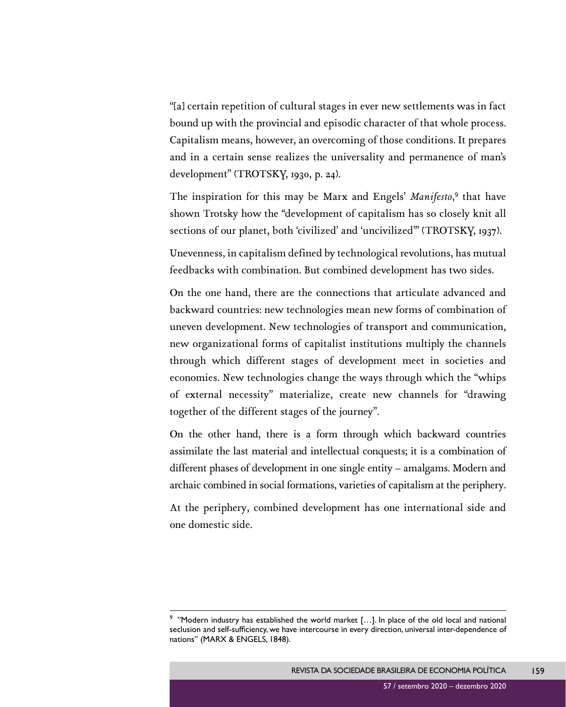"[a] certain repetition of cultural stages in ever new settlements was in fact bound up with the provincial and episodic character of that whole process. Capitalism means, however, an overcoming of those conditions. It prepares and in a certain sense realizes the universality and permanence of man's development" (TROTSKY, 1930, p. 24).

The inspiration for this may be Marx and Engels' Manifesto,<sup>9</sup> that have shown Trotsky how the "development of capitalism has so closely knit all sections of our planet, both 'civilized' and 'uncivilized'" (TROTSKY, 1937).

Unevenness, in capitalism defined by technological revolutions, has mutual feedbacks with combination. But combined development has two sides.

On the one hand, there are the connections that articulate advanced and backward countries: new technologies mean new forms of combination of uneven development. New technologies of transport and communication, new organizational forms of capitalist institutions multiply the channels through which different stages of development meet in societies and economies. New technologies change the ways through which the "whips of external necessity" materialize, create new channels for "drawing together of the different stages of the journey".

On the other hand, there is a form through which backward countries assimilate the last material and intellectual conquests; it is a combination of different phases of development in one single entity – amalgams. Modern and archaic combined in social formations, varieties of capitalism at the periphery.

At the periphery, combined development has one international side and one domestic side.

 $9$  "Modern industry has established the world market [...]. In place of the old local and national seclusion and self-sufficiency, we have intercourse in every direction, universal inter-dependence of nations" (MARX & ENGELS, 1848).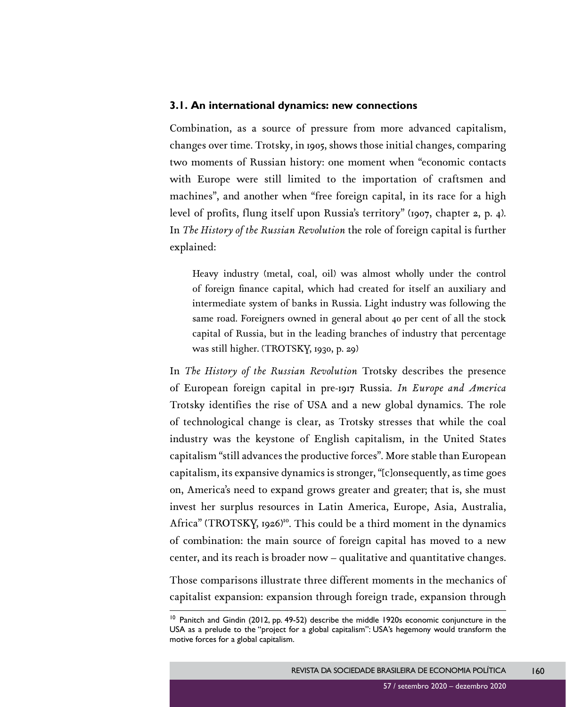#### **3.1. An international dynamics: new connections**

Combination, as a source of pressure from more advanced capitalism, changes over time. Trotsky, in 1905, shows those initial changes, comparing two moments of Russian history: one moment when "economic contacts with Europe were still limited to the importation of craftsmen and machines", and another when "free foreign capital, in its race for a high level of profits, flung itself upon Russia's territory" (1907, chapter 2, p. 4). In *The History of the Russian Revolution* the role of foreign capital is further explained:

Heavy industry (metal, coal, oil) was almost wholly under the control of foreign finance capital, which had created for itself an auxiliary and intermediate system of banks in Russia. Light industry was following the same road. Foreigners owned in general about 40 per cent of all the stock capital of Russia, but in the leading branches of industry that percentage was still higher. (TROTSKY, 1930, p. 29)

In *The History of the Russian Revolution* Trotsky describes the presence of European foreign capital in pre-1917 Russia. *In Europe and America* Trotsky identifies the rise of USA and a new global dynamics. The role of technological change is clear, as Trotsky stresses that while the coal industry was the keystone of English capitalism, in the United States capitalism "still advances the productive forces". More stable than European capitalism, its expansive dynamics is stronger, "[c]onsequently, as time goes on, America's need to expand grows greater and greater; that is, she must invest her surplus resources in Latin America, Europe, Asia, Australia, Africa" (TROTSKY, 1926)<sup>10</sup>. This could be a third moment in the dynamics of combination: the main source of foreign capital has moved to a new center, and its reach is broader now – qualitative and quantitative changes. Those comparisons illustrate three different moments in the mechanics of capitalist expansion: expansion through foreign trade, expansion through

<sup>&</sup>lt;sup>10</sup> Panitch and Gindin (2012, pp. 49-52) describe the middle 1920s economic conjuncture in the USA as a prelude to the "project for a global capitalism": USA's hegemony would transform the motive forces for a global capitalism.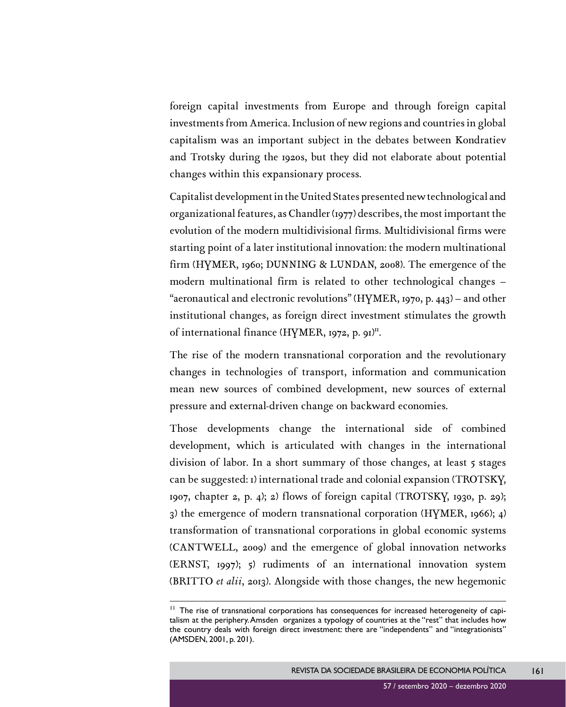foreign capital investments from Europe and through foreign capital investments from America. Inclusion of new regions and countries in global capitalism was an important subject in the debates between Kondratiev and Trotsky during the 1920s, but they did not elaborate about potential changes within this expansionary process.

Capitalist development in the United States presented new technological and organizational features, as Chandler (1977) describes, the most important the evolution of the modern multidivisional firms. Multidivisional firms were starting point of a later institutional innovation: the modern multinational firm (HYMER, 1960; DUNNING & LUNDAN, 2008). The emergence of the modern multinational firm is related to other technological changes – "aeronautical and electronic revolutions" (HYMER, 1970, p. 443) – and other institutional changes, as foreign direct investment stimulates the growth of international finance (HYMER, 1972, p. 91)<sup>II</sup>.

The rise of the modern transnational corporation and the revolutionary changes in technologies of transport, information and communication mean new sources of combined development, new sources of external pressure and external-driven change on backward economies.

Those developments change the international side of combined development, which is articulated with changes in the international division of labor. In a short summary of those changes, at least 5 stages can be suggested: 1) international trade and colonial expansion (TROTSKY, 1907, chapter 2, p. 4); 2) flows of foreign capital (TROTSKY, 1930, p. 29); 3) the emergence of modern transnational corporation (HYMER, 1966); 4) transformation of transnational corporations in global economic systems (CANTWELL, 2009) and the emergence of global innovation networks (ERNST, 1997); 5) rudiments of an international innovation system (BRITTO *et alii*, 2013). Alongside with those changes, the new hegemonic

<sup>&</sup>lt;sup>11</sup> The rise of transnational corporations has consequences for increased heterogeneity of capitalism at the periphery. Amsden organizes a typology of countries at the "rest" that includes how the country deals with foreign direct investment: there are "independents" and "integrationists" (AMSDEN, 2001, p. 201).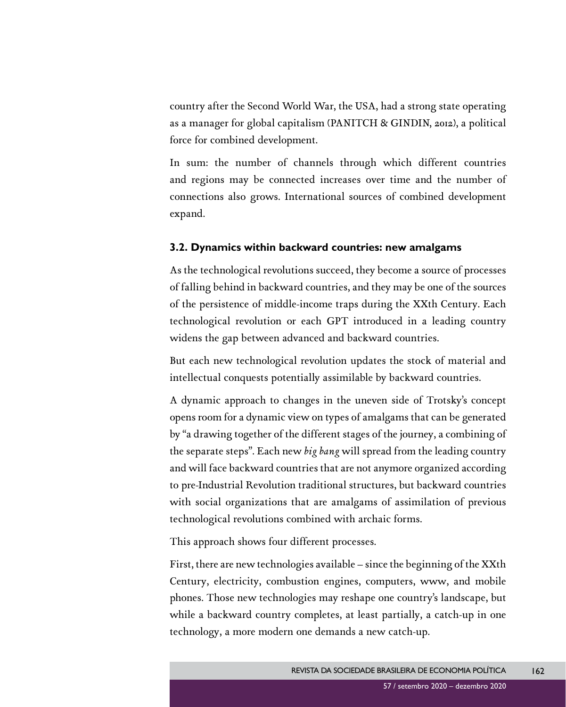country after the Second World War, the USA, had a strong state operating as a manager for global capitalism (PANITCH & GINDIN, 2012), a political force for combined development.

In sum: the number of channels through which different countries and regions may be connected increases over time and the number of connections also grows. International sources of combined development expand.

#### **3.2. Dynamics within backward countries: new amalgams**

As the technological revolutions succeed, they become a source of processes of falling behind in backward countries, and they may be one of the sources of the persistence of middle-income traps during the XXth Century. Each technological revolution or each GPT introduced in a leading country widens the gap between advanced and backward countries.

But each new technological revolution updates the stock of material and intellectual conquests potentially assimilable by backward countries.

A dynamic approach to changes in the uneven side of Trotsky's concept opens room for a dynamic view on types of amalgams that can be generated by "a drawing together of the different stages of the journey, a combining of the separate steps". Each new *big bang* will spread from the leading country and will face backward countries that are not anymore organized according to pre-Industrial Revolution traditional structures, but backward countries with social organizations that are amalgams of assimilation of previous technological revolutions combined with archaic forms.

This approach shows four different processes.

First, there are new technologies available – since the beginning of the XXth Century, electricity, combustion engines, computers, www, and mobile phones. Those new technologies may reshape one country's landscape, but while a backward country completes, at least partially, a catch-up in one technology, a more modern one demands a new catch-up.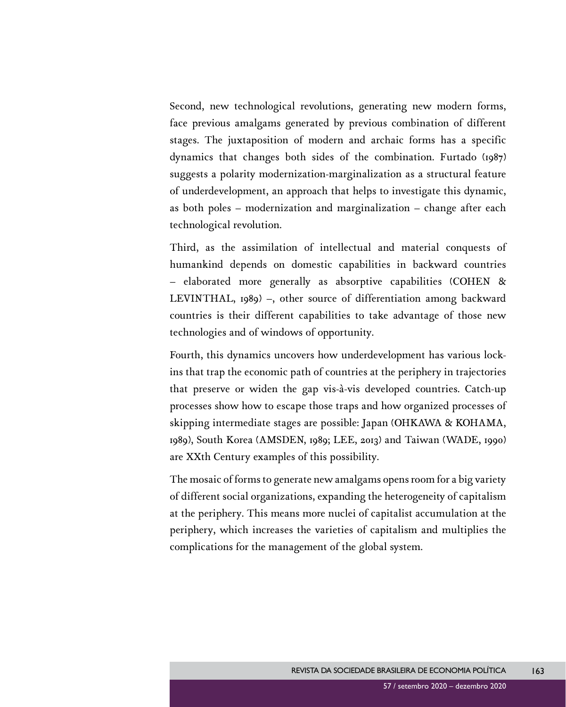Second, new technological revolutions, generating new modern forms, face previous amalgams generated by previous combination of different stages. The juxtaposition of modern and archaic forms has a specific dynamics that changes both sides of the combination. Furtado (1987) suggests a polarity modernization-marginalization as a structural feature of underdevelopment, an approach that helps to investigate this dynamic, as both poles – modernization and marginalization – change after each technological revolution.

Third, as the assimilation of intellectual and material conquests of humankind depends on domestic capabilities in backward countries – elaborated more generally as absorptive capabilities (COHEN & LEVINTHAL, 1989) –, other source of differentiation among backward countries is their different capabilities to take advantage of those new technologies and of windows of opportunity.

Fourth, this dynamics uncovers how underdevelopment has various lockins that trap the economic path of countries at the periphery in trajectories that preserve or widen the gap vis-à-vis developed countries. Catch-up processes show how to escape those traps and how organized processes of skipping intermediate stages are possible: Japan (OHKAWA & KOHAMA, 1989), South Korea (AMSDEN, 1989; LEE, 2013) and Taiwan (WADE, 1990) are XXth Century examples of this possibility.

The mosaic of forms to generate new amalgams opens room for a big variety of different social organizations, expanding the heterogeneity of capitalism at the periphery. This means more nuclei of capitalist accumulation at the periphery, which increases the varieties of capitalism and multiplies the complications for the management of the global system.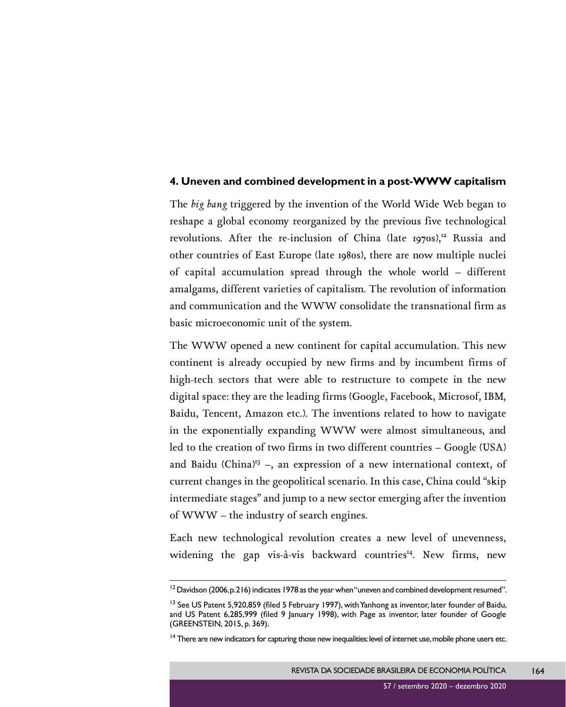#### **4. Uneven and combined development in a post-WWW capitalism**

The *big bang* triggered by the invention of the World Wide Web began to reshape a global economy reorganized by the previous five technological revolutions. After the re-inclusion of China (late 1970s),<sup>12</sup> Russia and other countries of East Europe (late 1980s), there are now multiple nuclei of capital accumulation spread through the whole world – different amalgams, different varieties of capitalism. The revolution of information and communication and the WWW consolidate the transnational firm as basic microeconomic unit of the system.

The WWW opened a new continent for capital accumulation. This new continent is already occupied by new firms and by incumbent firms of high-tech sectors that were able to restructure to compete in the new digital space: they are the leading firms (Google, Facebook, Microsof, IBM, Baidu, Tencent, Amazon etc.). The inventions related to how to navigate in the exponentially expanding WWW were almost simultaneous, and led to the creation of two firms in two different countries – Google (USA) and Baidu (China)<sup>13</sup> –, an expression of a new international context, of current changes in the geopolitical scenario. In this case, China could "skip intermediate stages" and jump to a new sector emerging after the invention of WWW – the industry of search engines.

Each new technological revolution creates a new level of unevenness, widening the gap vis-à-vis backward countries<sup>14</sup>. New firms, new

 $12$  Davidson (2006, p. 216) indicates 1978 as the year when "uneven and combined development resumed".

<sup>&</sup>lt;sup>13</sup> See US Patent 5,920,859 (filed 5 February 1997), with Yanhong as inventor, later founder of Baidu, and US Patent 6,285,999 (filed 9 January 1998), with Page as inventor, later founder of Google (GREENSTEIN, 2015, p. 369).

<sup>&</sup>lt;sup>14</sup> There are new indicators for capturing those new inequalities: level of internet use, mobile phone users etc.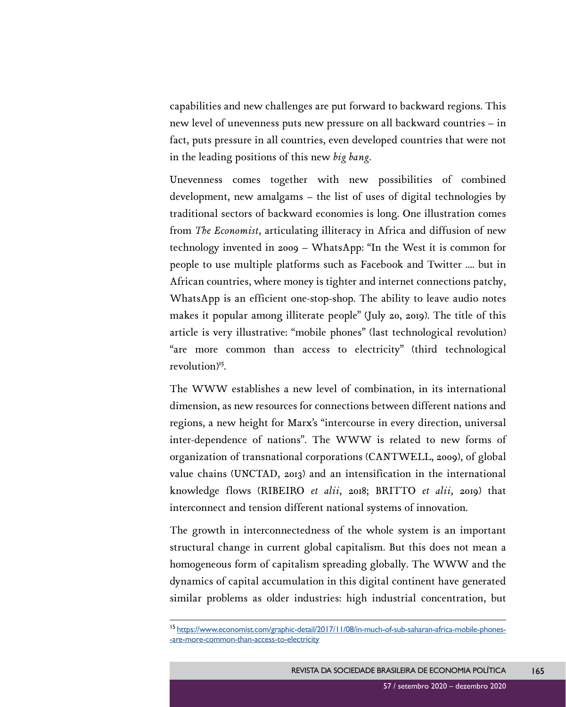capabilities and new challenges are put forward to backward regions. This new level of unevenness puts new pressure on all backward countries – in fact, puts pressure in all countries, even developed countries that were not in the leading positions of this new *big bang*.

Unevenness comes together with new possibilities of combined development, new amalgams – the list of uses of digital technologies by traditional sectors of backward economies is long. One illustration comes from *The Economist*, articulating illiteracy in Africa and diffusion of new technology invented in 2009 – WhatsApp: "In the West it is common for people to use multiple platforms such as Facebook and Twitter .... but in African countries, where money is tighter and internet connections patchy, WhatsApp is an efficient one-stop-shop. The ability to leave audio notes makes it popular among illiterate people" (July 20, 2019). The title of this article is very illustrative: "mobile phones" (last technological revolution) "are more common than access to electricity" (third technological revolution<sup>)<sup>15</sup>.</sup>

The WWW establishes a new level of combination, in its international dimension, as new resources for connections between different nations and regions, a new height for Marx's "intercourse in every direction, universal inter-dependence of nations". The WWW is related to new forms of organization of transnational corporations (CANTWELL, 2009), of global value chains (UNCTAD, 2013) and an intensification in the international knowledge flows (RIBEIRO *et alii*, 2018; BRITTO *et alii*, 2019) that interconnect and tension different national systems of innovation.

The growth in interconnectedness of the whole system is an important structural change in current global capitalism. But this does not mean a homogeneous form of capitalism spreading globally. The WWW and the dynamics of capital accumulation in this digital continent have generated similar problems as older industries: high industrial concentration, but

<sup>15</sup> [https://www.economist.com/graphic-detail/2017/11/08/in-much-of-sub-saharan-africa-mobile-phones-](https://www.economist.com/graphic-detail/2017/11/08/in-much-of-sub-saharan-africa-mobile-phones-are-more-common-than-access-to-electricity) [-are-more-common-than-access-to-electricity](https://www.economist.com/graphic-detail/2017/11/08/in-much-of-sub-saharan-africa-mobile-phones-are-more-common-than-access-to-electricity)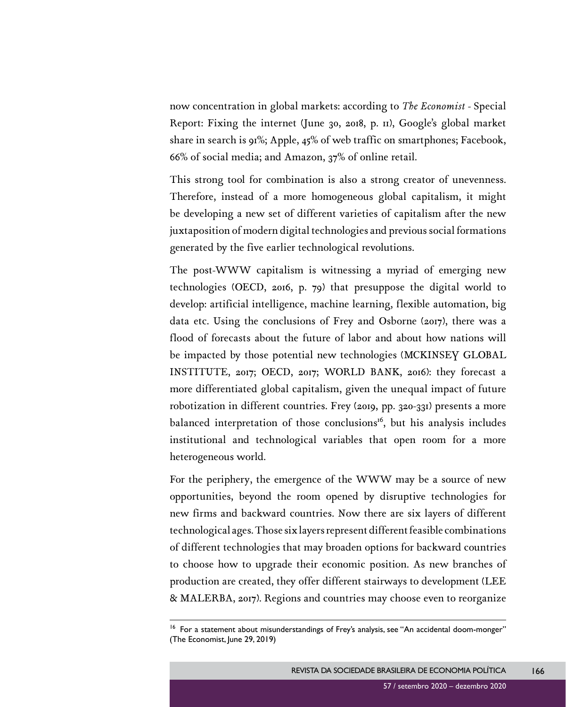now concentration in global markets: according to *The Economist* - Special Report: Fixing the internet (June 30, 2018, p. 11), Google's global market share in search is 91%; Apple, 45% of web traffic on smartphones; Facebook, 66% of social media; and Amazon, 37% of online retail.

This strong tool for combination is also a strong creator of unevenness. Therefore, instead of a more homogeneous global capitalism, it might be developing a new set of different varieties of capitalism after the new juxtaposition of modern digital technologies and previous social formations generated by the five earlier technological revolutions.

The post-WWW capitalism is witnessing a myriad of emerging new technologies (OECD, 2016, p. 79) that presuppose the digital world to develop: artificial intelligence, machine learning, flexible automation, big data etc. Using the conclusions of Frey and Osborne (2017), there was a flood of forecasts about the future of labor and about how nations will be impacted by those potential new technologies (MCKINSEY GLOBAL INSTITUTE, 2017; OECD, 2017; WORLD BANK, 2016): they forecast a more differentiated global capitalism, given the unequal impact of future robotization in different countries. Frey (2019, pp. 320-331) presents a more balanced interpretation of those conclusions<sup>16</sup>, but his analysis includes institutional and technological variables that open room for a more heterogeneous world.

For the periphery, the emergence of the WWW may be a source of new opportunities, beyond the room opened by disruptive technologies for new firms and backward countries. Now there are six layers of different technological ages. Those six layers represent different feasible combinations of different technologies that may broaden options for backward countries to choose how to upgrade their economic position. As new branches of production are created, they offer different stairways to development (LEE & MALERBA, 2017). Regions and countries may choose even to reorganize

<sup>&</sup>lt;sup>16</sup> For a statement about misunderstandings of Frey's analysis, see "An accidental doom-monger" (The Economist, June 29, 2019)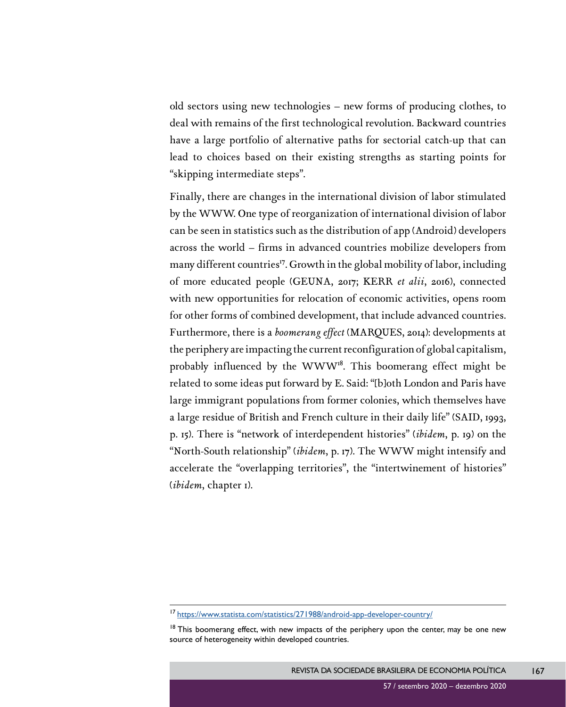old sectors using new technologies – new forms of producing clothes, to deal with remains of the first technological revolution. Backward countries have a large portfolio of alternative paths for sectorial catch-up that can lead to choices based on their existing strengths as starting points for "skipping intermediate steps".

Finally, there are changes in the international division of labor stimulated by the WWW. One type of reorganization of international division of labor can be seen in statistics such as the distribution of app (Android) developers across the world – firms in advanced countries mobilize developers from many different countries<sup>17</sup>. Growth in the global mobility of labor, including of more educated people (GEUNA, 2017; KERR *et alii*, 2016), connected with new opportunities for relocation of economic activities, opens room for other forms of combined development, that include advanced countries. Furthermore, there is a *boomerang effect* (MARQUES, 2014): developments at the periphery are impacting the current reconfiguration of global capitalism, probably influenced by the WWW<sup>18</sup>. This boomerang effect might be related to some ideas put forward by E. Said: "[b]oth London and Paris have large immigrant populations from former colonies, which themselves have a large residue of British and French culture in their daily life" (SAID, 1993, p. 15). There is "network of interdependent histories" (*ibidem*, p. 19) on the "North-South relationship" (*ibidem*, p. 17). The WWW might intensify and accelerate the "overlapping territories", the "intertwinement of histories" (*ibidem*, chapter 1).

<sup>17</sup> <https://www.statista.com/statistics/271988/android-app-developer-country/>

 $18$  This boomerang effect, with new impacts of the periphery upon the center, may be one new source of heterogeneity within developed countries.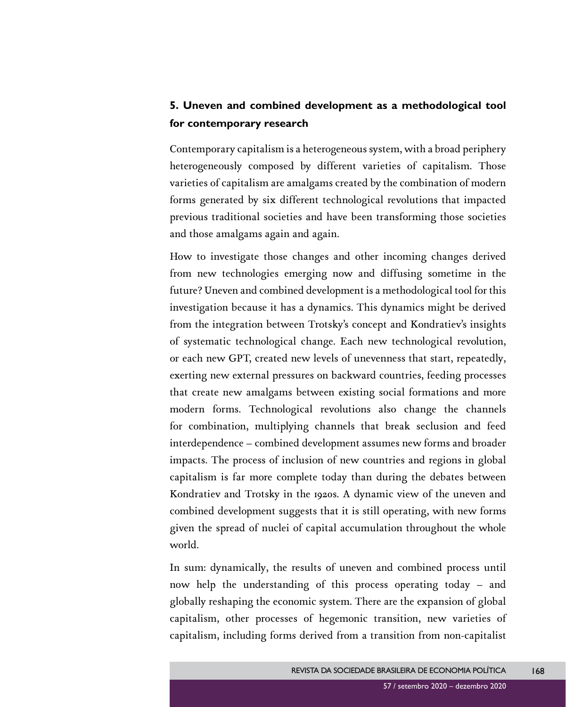## **5. Uneven and combined development as a methodological tool for contemporary research**

Contemporary capitalism is a heterogeneous system, with a broad periphery heterogeneously composed by different varieties of capitalism. Those varieties of capitalism are amalgams created by the combination of modern forms generated by six different technological revolutions that impacted previous traditional societies and have been transforming those societies and those amalgams again and again.

How to investigate those changes and other incoming changes derived from new technologies emerging now and diffusing sometime in the future? Uneven and combined development is a methodological tool for this investigation because it has a dynamics. This dynamics might be derived from the integration between Trotsky's concept and Kondratiev's insights of systematic technological change. Each new technological revolution, or each new GPT, created new levels of unevenness that start, repeatedly, exerting new external pressures on backward countries, feeding processes that create new amalgams between existing social formations and more modern forms. Technological revolutions also change the channels for combination, multiplying channels that break seclusion and feed interdependence – combined development assumes new forms and broader impacts. The process of inclusion of new countries and regions in global capitalism is far more complete today than during the debates between Kondratiev and Trotsky in the 1920s. A dynamic view of the uneven and combined development suggests that it is still operating, with new forms given the spread of nuclei of capital accumulation throughout the whole world.

In sum: dynamically, the results of uneven and combined process until now help the understanding of this process operating today – and globally reshaping the economic system. There are the expansion of global capitalism, other processes of hegemonic transition, new varieties of capitalism, including forms derived from a transition from non-capitalist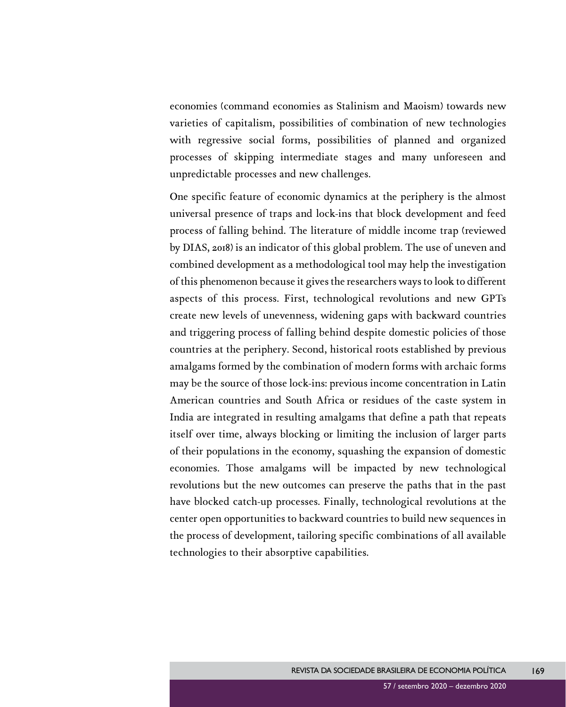economies (command economies as Stalinism and Maoism) towards new varieties of capitalism, possibilities of combination of new technologies with regressive social forms, possibilities of planned and organized processes of skipping intermediate stages and many unforeseen and unpredictable processes and new challenges.

One specific feature of economic dynamics at the periphery is the almost universal presence of traps and lock-ins that block development and feed process of falling behind. The literature of middle income trap (reviewed by DIAS, 2018) is an indicator of this global problem. The use of uneven and combined development as a methodological tool may help the investigation of this phenomenon because it gives the researchers ways to look to different aspects of this process. First, technological revolutions and new GPTs create new levels of unevenness, widening gaps with backward countries and triggering process of falling behind despite domestic policies of those countries at the periphery. Second, historical roots established by previous amalgams formed by the combination of modern forms with archaic forms may be the source of those lock-ins: previous income concentration in Latin American countries and South Africa or residues of the caste system in India are integrated in resulting amalgams that define a path that repeats itself over time, always blocking or limiting the inclusion of larger parts of their populations in the economy, squashing the expansion of domestic economies. Those amalgams will be impacted by new technological revolutions but the new outcomes can preserve the paths that in the past have blocked catch-up processes. Finally, technological revolutions at the center open opportunities to backward countries to build new sequences in the process of development, tailoring specific combinations of all available technologies to their absorptive capabilities.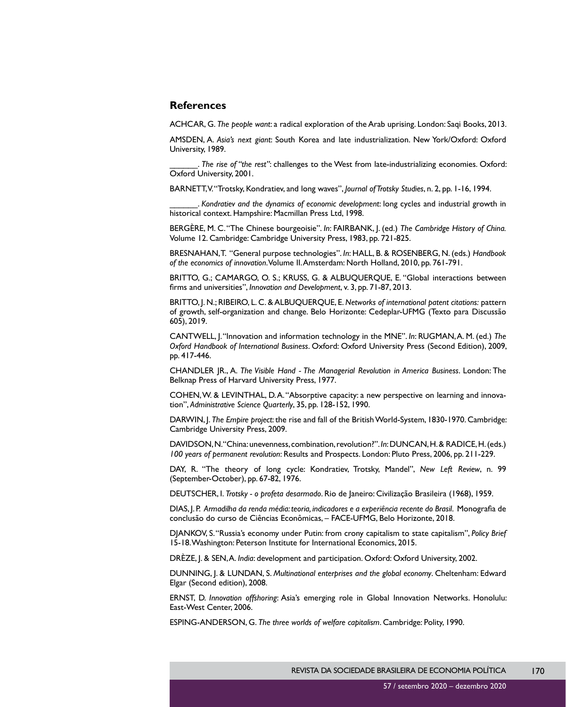#### **References**

ACHCAR, G. *The people want*: a radical exploration of the Arab uprising. London: Saqi Books, 2013.

AMSDEN, A. *Asia's next giant*: South Korea and late industrialization. New York/Oxford: Oxford University, 1989.

\_\_\_\_\_\_. *The rise of "the rest"*: challenges to the West from late-industrializing economies. Oxford: Oxford University, 2001.

BARNETT, V. "Trotsky, Kondratiev, and long waves", *Journal of Trotsky Studies*, n. 2, pp. 1-16, 1994.

\_\_\_\_\_\_. *Kondratiev and the dynamics of economic development*: long cycles and industrial growth in historical context. Hampshire: Macmillan Press Ltd, 1998.

BERGÈRE, M. C. "The Chinese bourgeoisie". *In*: FAIRBANK, J. (ed.) *The Cambridge History of China.* Volume 12. Cambridge: Cambridge University Press, 1983, pp. 721-825.

BRESNAHAN, T. "General purpose technologies". *In*: HALL, B. & ROSENBERG, N. (eds.) *Handbook of the economics of innovation*. Volume II. Amsterdam: North Holland, 2010, pp. 761-791.

BRITTO, G.; CAMARGO, O. S.; KRUSS, G. & ALBUQUERQUE, E. "Global interactions between firms and universities", *Innovation and Development*, v. 3, pp. 71-87, 2013.

BRITTO, J. N.; RIBEIRO, L. C. & ALBUQUERQUE, E. *Networks of international patent citations:* pattern of growth, self-organization and change. Belo Horizonte: Cedeplar-UFMG (Texto para Discussão 605), 2019.

CANTWELL, J. "Innovation and information technology in the MNE". *In*: RUGMAN, A. M. (ed.) *The Oxford Handbook of International Business*. Oxford: Oxford University Press (Second Edition), 2009, pp. 417-446.

CHANDLER JR., A. *The Visible Hand - The Managerial Revolution in America Business*. London: The Belknap Press of Harvard University Press, 1977.

COHEN, W. & LEVINTHAL, D. A. "Absorptive capacity: a new perspective on learning and innovation", *Administrative Science Quarterly*, 35, pp. 128-152, 1990.

DARWIN, J. *The Empire project*: the rise and fall of the British World-System, 1830-1970. Cambridge: Cambridge University Press, 2009.

DAVIDSON, N. "China: unevenness, combination, revolution?". *In*: DUNCAN, H. & RADICE, H. (eds.) *100 years of permanent revolution*: Results and Prospects. London: Pluto Press, 2006, pp. 211-229.

DAY, R. "The theory of long cycle: Kondratiev, Trotsky, Mandel", *New Left Review*, n. 99 (September-October), pp. 67-82, 1976.

DEUTSCHER, I. *Trotsky - o profeta desarmado*. Rio de Janeiro: Civilização Brasileira (1968), 1959.

DIAS, J. P. *Armadilha da renda média: teoria, indicadores e a experiência recente do Brasil*. Monografia de conclusão do curso de Ciências Econômicas, – FACE-UFMG, Belo Horizonte, 2018.

DJANKOV, S. "Russia's economy under Putin: from crony capitalism to state capitalism", *Policy Brief* 15-18. Washington: Peterson Institute for International Economics, 2015.

DRÈZE, J. & SEN, A. *India*: development and participation. Oxford: Oxford University, 2002.

DUNNING, J. & LUNDAN, S. *Multinational enterprises and the global economy*. Cheltenham: Edward Elgar (Second edition), 2008.

ERNST, D. *Innovation offshoring*: Asia's emerging role in Global Innovation Networks. Honolulu: East-West Center, 2006.

ESPING-ANDERSON, G. *The three worlds of welfare capitalism*. Cambridge: Polity, 1990.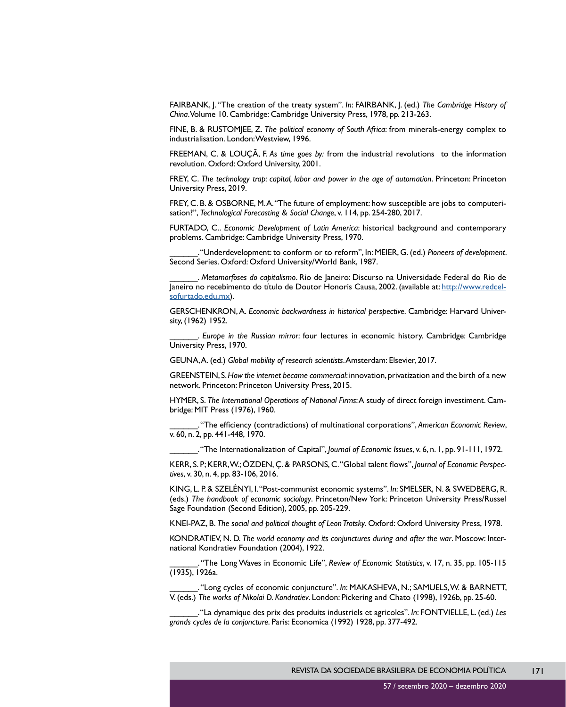FAIRBANK, J. "The creation of the treaty system". *In*: FAIRBANK, J. (ed.) *The Cambridge History of China*. Volume 10. Cambridge: Cambridge University Press, 1978, pp. 213-263.

FINE, B. & RUSTOMJEE, Z. *The political economy of South Africa*: from minerals-energy complex to industrialisation. London: Westview, 1996.

FREEMAN, C. & LOUÇÃ, F. *As time goes by:* from the industrial revolutions to the information revolution. Oxford: Oxford University, 2001.

FREY, C. *The technology trap: capital, labor and power in the age of automation*. Princeton: Princeton University Press, 2019.

FREY, C. B. & OSBORNE, M.A. "The future of employment: how susceptible are jobs to computerisation?", *Technological Forecasting & Social Change*, v. 114, pp. 254-280, 2017.

FURTADO, C.. *Economic Development of Latin America*: historical background and contemporary problems. Cambridge: Cambridge University Press, 1970.

\_\_\_\_\_\_. "Underdevelopment: to conform or to reform", In: MEIER, G. (ed.) *Pioneers of development*. Second Series. Oxford: Oxford University/World Bank, 1987.

\_\_\_\_\_\_. *Metamorfoses do capitalismo*. Rio de Janeiro: Discurso na Universidade Federal do Rio de Janeiro no recebimento do título de Doutor Honoris Causa, 2002. (available at: [http://www.redcel](http://www.redcelsofurtado.edu.mx)[sofurtado.edu.mx](http://www.redcelsofurtado.edu.mx)).

GERSCHENKRON, A. *Economic backwardness in historical perspective*. Cambridge: Harvard University, (1962) 1952.

\_\_\_\_\_\_. *Europe in the Russian mirror*: four lectures in economic history. Cambridge: Cambridge University Press, 1970.

GEUNA, A. (ed.) *Global mobility of research scientists*. Amsterdam: Elsevier, 2017.

GREENSTEIN, S. *How the internet became commercial*: innovation, privatization and the birth of a new network. Princeton: Princeton University Press, 2015.

HYMER, S. *The International Operations of National Firms*: A study of direct foreign investiment. Cambridge: MIT Press (1976), 1960.

\_\_\_\_\_\_. "The efficiency (contradictions) of multinational corporations", *American Economic Review*, v. 60, n. 2, pp. 441-448, 1970.

\_\_\_\_\_\_. "The Internationalization of Capital", *Journal of Economic Issues*, v. 6, n. 1, pp. 91-111, 1972.

KERR, S. P; KERR, W.; ÖZDEN, Ç. & PARSONS, C. "Global talent flows", *Journal of Economic Perspectives*, v. 30, n. 4, pp. 83-106, 2016.

KING, L. P. & SZELÉNYI, I. "Post-communist economic systems". *In*: SMELSER, N. & SWEDBERG, R. (eds.) *The handbook of economic sociology*. Princeton/New York: Princeton University Press/Russel Sage Foundation (Second Edition), 2005, pp. 205-229.

KNEI-PAZ, B. *The social and political thought of Leon Trotsky*. Oxford: Oxford University Press, 1978.

KONDRATIEV, N. D. *The world economy and its conjunctures during and after the war*. Moscow: International Kondratiev Foundation (2004), 1922.

\_\_\_\_\_\_. "The Long Waves in Economic Life", *Review of Economic Statistics*, v. 17, n. 35, pp. 105-115 (1935), 1926a.

\_\_\_\_\_\_. "Long cycles of economic conjuncture". *In*: MAKASHEVA, N.; SAMUELS, W. & BARNETT, V. (eds.) *The works of Nikolai D. Kondratiev*. London: Pickering and Chato (1998), 1926b, pp. 25-60.

\_\_\_\_\_\_. "La dynamique des prix des produits industriels et agricoles". *In*: FONTVIELLE, L. (ed.) *Les grands cycles de la conjoncture*. Paris: Economica (1992) 1928, pp. 377-492.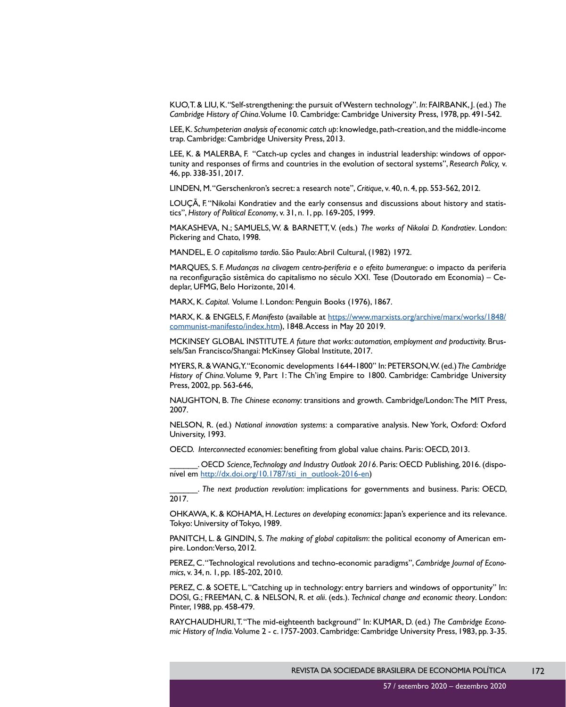KUO, T. & LIU, K. "Self-strengthening: the pursuit of Western technology". *In*: FAIRBANK, J. (ed.) *The Cambridge History of China*. Volume 10. Cambridge: Cambridge University Press, 1978, pp. 491-542.

LEE, K. *Schumpeterian analysis of economic catch up*: knowledge, path-creation, and the middle-income trap. Cambridge: Cambridge University Press, 2013.

LEE, K. & MALERBA, F. "Catch-up cycles and changes in industrial leadership: windows of opportunity and responses of firms and countries in the evolution of sectoral systems", *Research Policy,* v. 46, pp. 338-351, 2017.

LINDEN, M. "Gerschenkron's secret: a research note", *Critique*, v. 40, n. 4, pp. 553-562, 2012.

LOUÇÃ, F. "Nikolai Kondratiev and the early consensus and discussions about history and statistics", *History of Political Economy*, v. 31, n. 1, pp. 169-205, 1999.

MAKASHEVA, N.; SAMUELS, W. & BARNETT, V. (eds.) *The works of Nikolai D. Kondratiev*. London: Pickering and Chato, 1998.

MANDEL, E. *O capitalismo tardio*. São Paulo: Abril Cultural, (1982) 1972.

MARQUES, S. F. *Mudanças na clivagem centro-periferia e o efeito bumerangue*: o impacto da periferia na reconfiguração sistêmica do capitalismo no século XXI. Tese (Doutorado em Economia) – Cedeplar, UFMG, Belo Horizonte, 2014.

MARX, K. *Capital*. Volume I. London: Penguin Books (1976), 1867.

MARX, K. & ENGELS, F. *Manifesto* (available at [https://www.marxists.org/archive/marx/works/1848/](https://www.marxists.org/archive/marx/works/1848/communist-manifesto/index.htm) [communist-manifesto/index.htm\)](https://www.marxists.org/archive/marx/works/1848/communist-manifesto/index.htm), 1848. Access in May 20 2019.

MCKINSEY GLOBAL INSTITUTE. *A future that works: automation, employment and productivity.* Brussels/San Francisco/Shangai: McKinsey Global Institute, 2017.

MYERS, R. & WANG, Y. "Economic developments 1644-1800" In: PETERSON, W. (ed.) *The Cambridge History of China*. Volume 9, Part 1: The Ch'ing Empire to 1800. Cambridge: Cambridge University Press, 2002, pp. 563-646,

NAUGHTON, B. *The Chinese economy*: transitions and growth. Cambridge/London: The MIT Press, 2007.

NELSON, R. (ed.) *National innovation systems*: a comparative analysis. New York, Oxford: Oxford University, 1993.

OECD. *Interconnected economies*: benefiting from global value chains. Paris: OECD, 2013.

OECD Science, Technology and Industry Outlook 2016. Paris: OECD Publishing, 2016. (disponível em [http://dx.doi.org/10.1787/sti\\_in\\_outlook-2016-en](http://dx.doi.org/10.1787/sti_in_outlook-2016-en))

\_\_\_\_\_\_. *The next production revolution*: implications for governments and business. Paris: OECD, 2017.

OHKAWA, K. & KOHAMA, H. *Lectures on developing economics*: Japan's experience and its relevance. Tokyo: University of Tokyo, 1989.

PANITCH, L. & GINDIN, S. *The making of global capitalism*: the political economy of American empire. London: Verso, 2012.

PEREZ, C. "Technological revolutions and techno-economic paradigms", *Cambridge Journal of Economics*, v. 34, n. 1, pp. 185-202, 2010.

PEREZ, C. & SOETE, L. "Catching up in technology: entry barriers and windows of opportunity" In: DOSI, G.; FREEMAN, C. & NELSON, R. *et alii*. (eds.). *Technical change and economic theory*. London: Pinter, 1988, pp. 458-479.

RAYCHAUDHURI, T. "The mid-eighteenth background" In: KUMAR, D. (ed.) *The Cambridge Economic History of India.* Volume 2 - c. 1757-2003. Cambridge: Cambridge University Press, 1983, pp. 3-35.